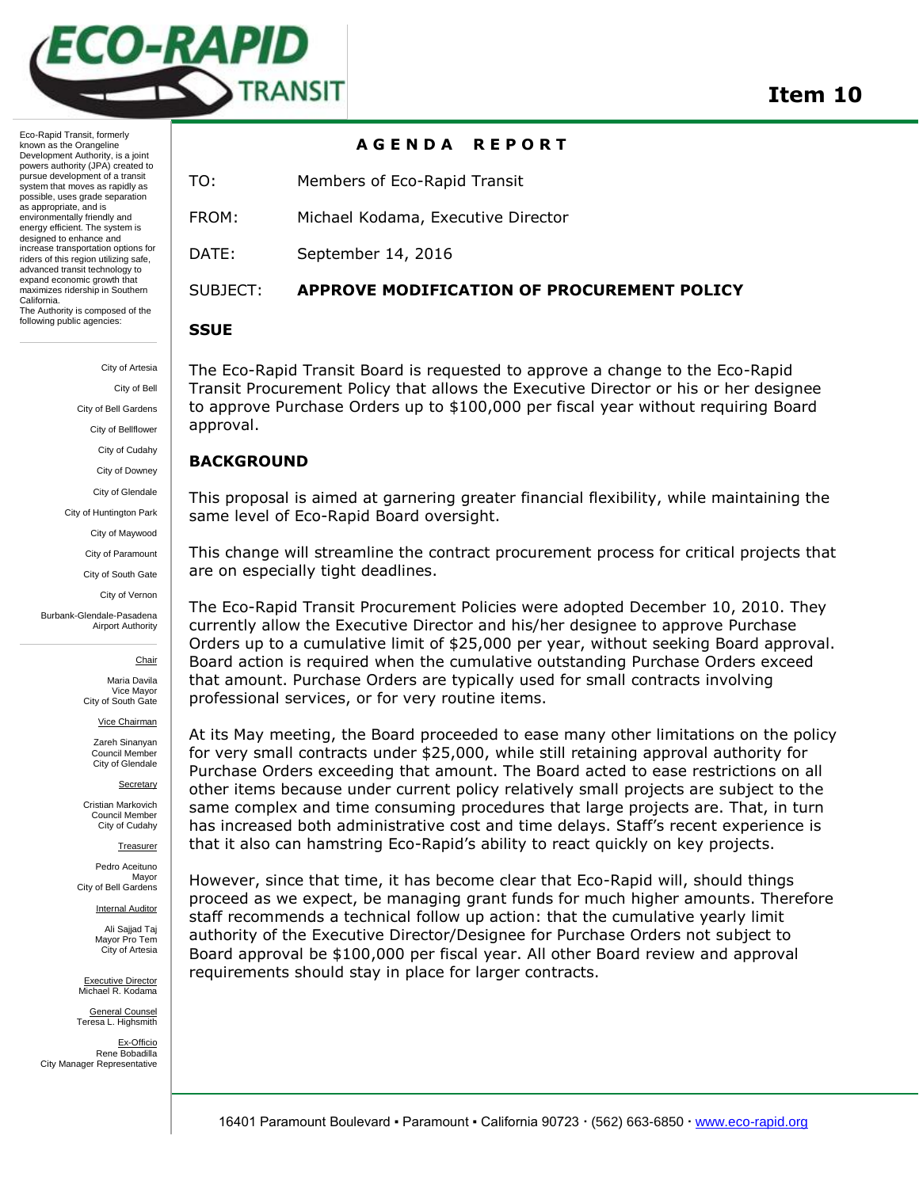

# **A G E N D A R E P O R T**

TO: Members of Eco-Rapid Transit

FROM: Michael Kodama, Executive Director

DATE: September 14, 2016

maximizes ridership in Southern California. The Authority is composed of the following public agencies:

Eco-Rapid Transit, formerly known as the Orangeline Development Authority, is a joint powers authority (JPA) created to pursue development of a transit system that moves as rapidly as possible, uses grade separation as appropriate, and is environmentally friendly and energy efficient. The system is designed to enhance and increase transportation options for riders of this region utilizing safe, advanced transit technology to expand economic growth that

> City of Artesia City of Bell City of Bell Gardens City of Bellflower City of Cudahy City of Downey City of Glendale City of Huntington Park City of Maywood City of Paramount City of South Gate City of Vernon

Burbank-Glendale-Pasadena Airport Authority

**Chair** 

Maria Davila Vice Mayor City of South Gate

Vice Chairman

Zareh Sinanyan Council Member City of Glendale

**Secretary** 

Cristian Markovich Council Member City of Cudahy

Treasurer

Pedro Aceituno Mayor City of Bell Gardens

Internal Auditor

Ali Sajjad Taj Mayor Pro Tem City of Artesia

Executive Director Michael R. Kodama

General Counsel Teresa L. Highsmith

Ex-Officio Rene Bobadilla City Manager Representative

## SUBJECT: **APPROVE MODIFICATION OF PROCUREMENT POLICY**

### **SSUE**

The Eco-Rapid Transit Board is requested to approve a change to the Eco-Rapid Transit Procurement Policy that allows the Executive Director or his or her designee to approve Purchase Orders up to \$100,000 per fiscal year without requiring Board approval.

## **BACKGROUND**

This proposal is aimed at garnering greater financial flexibility, while maintaining the same level of Eco-Rapid Board oversight.

This change will streamline the contract procurement process for critical projects that are on especially tight deadlines.

The Eco-Rapid Transit Procurement Policies were adopted December 10, 2010. They currently allow the Executive Director and his/her designee to approve Purchase Orders up to a cumulative limit of \$25,000 per year, without seeking Board approval. Board action is required when the cumulative outstanding Purchase Orders exceed that amount. Purchase Orders are typically used for small contracts involving professional services, or for very routine items.

At its May meeting, the Board proceeded to ease many other limitations on the policy for very small contracts under \$25,000, while still retaining approval authority for Purchase Orders exceeding that amount. The Board acted to ease restrictions on all other items because under current policy relatively small projects are subject to the same complex and time consuming procedures that large projects are. That, in turn has increased both administrative cost and time delays. Staff's recent experience is that it also can hamstring Eco-Rapid's ability to react quickly on key projects.

However, since that time, it has become clear that Eco-Rapid will, should things proceed as we expect, be managing grant funds for much higher amounts. Therefore staff recommends a technical follow up action: that the cumulative yearly limit authority of the Executive Director/Designee for Purchase Orders not subject to Board approval be \$100,000 per fiscal year. All other Board review and approval requirements should stay in place for larger contracts.